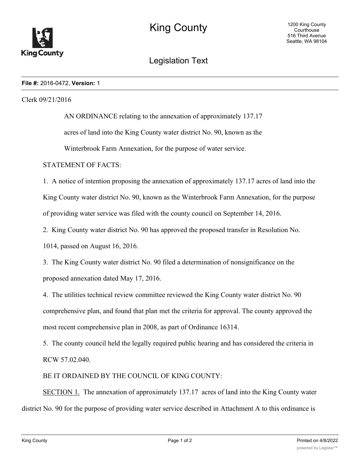

## Legislation Text

## **File #:** 2016-0472, **Version:** 1

Clerk 09/21/2016

AN ORDINANCE relating to the annexation of approximately 137.17 acres of land into the King County water district No. 90, known as the Winterbrook Farm Annexation, for the purpose of water service.

STATEMENT OF FACTS:

1. A notice of intention proposing the annexation of approximately 137.17 acres of land into the King County water district No. 90, known as the Winterbrook Farm Annexation, for the purpose of providing water service was filed with the county council on September 14, 2016.

2. King County water district No. 90 has approved the proposed transfer in Resolution No.

1014, passed on August 16, 2016.

3. The King County water district No. 90 filed a determination of nonsignificance on the proposed annexation dated May 17, 2016.

4. The utilities technical review committee reviewed the King County water district No. 90 comprehensive plan, and found that plan met the criteria for approval. The county approved the most recent comprehensive plan in 2008, as part of Ordinance 16314.

5. The county council held the legally required public hearing and has considered the criteria in RCW 57.02.040.

BE IT ORDAINED BY THE COUNCIL OF KING COUNTY:

SECTION 1. The annexation of approximately 137.17 acres of land into the King County water district No. 90 for the purpose of providing water service described in Attachment A to this ordinance is